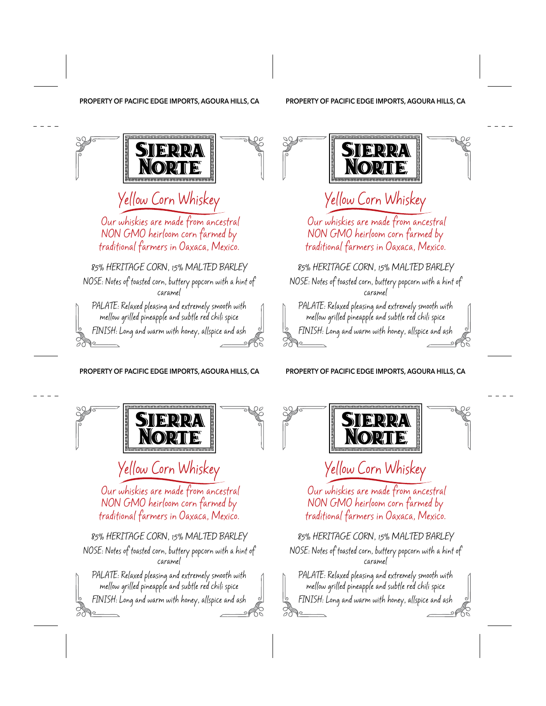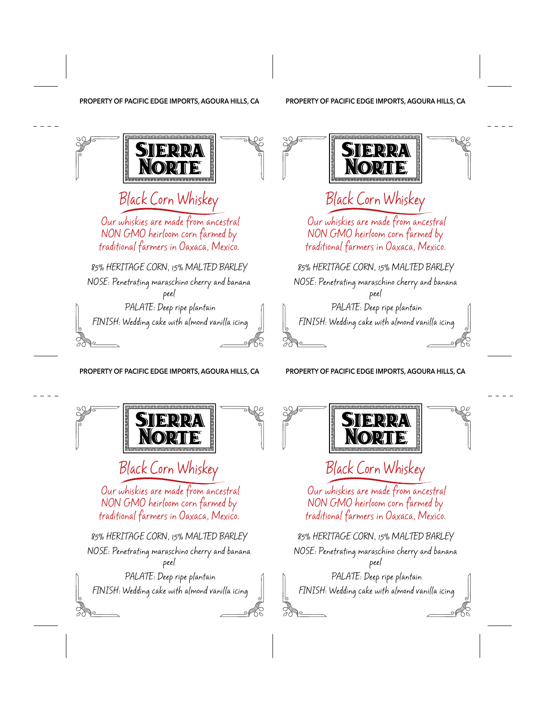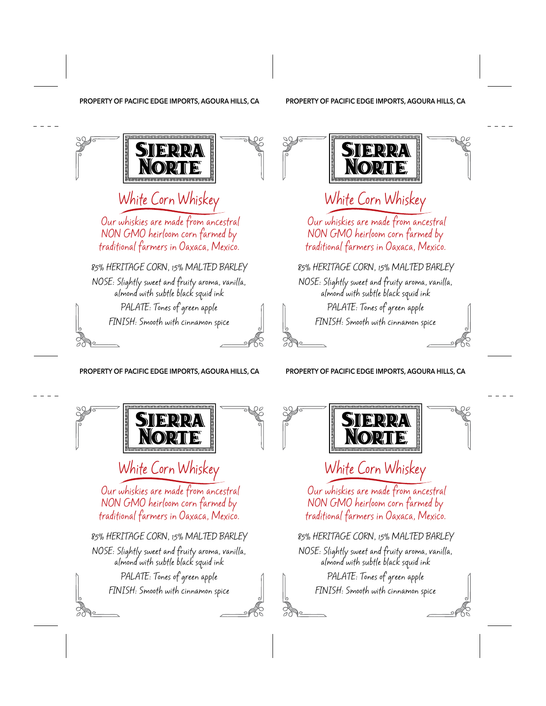